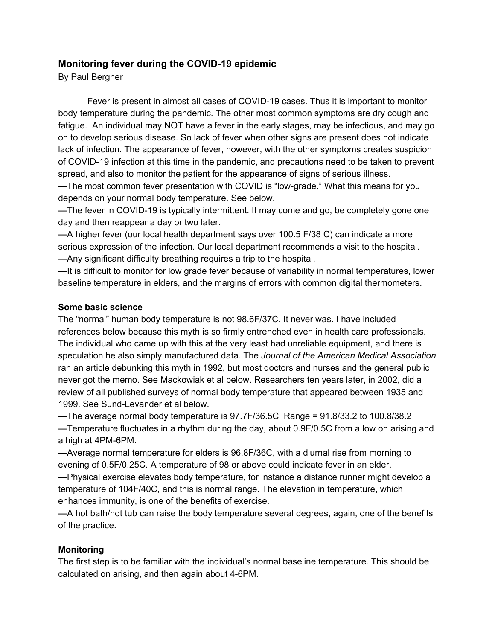# **Monitoring fever during the COVID-19 epidemic**

By Paul Bergner

Fever is present in almost all cases of COVID-19 cases. Thus it is important to monitor body temperature during the pandemic. The other most common symptoms are dry cough and fatigue. An individual may NOT have a fever in the early stages, may be infectious, and may go on to develop serious disease. So lack of fever when other signs are present does not indicate lack of infection. The appearance of fever, however, with the other symptoms creates suspicion of COVID-19 infection at this time in the pandemic, and precautions need to be taken to prevent spread, and also to monitor the patient for the appearance of signs of serious illness. ---The most common fever presentation with COVID is "low-grade." What this means for you

depends on your normal body temperature. See below.

---The fever in COVID-19 is typically intermittent. It may come and go, be completely gone one day and then reappear a day or two later.

---A higher fever (our local health department says over 100.5 F/38 C) can indicate a more serious expression of the infection. Our local department recommends a visit to the hospital. ---Any significant difficulty breathing requires a trip to the hospital.

---It is difficult to monitor for low grade fever because of variability in normal temperatures, lower baseline temperature in elders, and the margins of errors with common digital thermometers.

#### **Some basic science**

The "normal" human body temperature is not 98.6F/37C. It never was. I have included references below because this myth is so firmly entrenched even in health care professionals. The individual who came up with this at the very least had unreliable equipment, and there is speculation he also simply manufactured data. The *Journal of the American Medical Association* ran an article debunking this myth in 1992, but most doctors and nurses and the general public never got the memo. See Mackowiak et al below. Researchers ten years later, in 2002, did a review of all published surveys of normal body temperature that appeared between 1935 and 1999. See Sund-Levander et al below.

---The average normal body temperature is 97.7F/36.5C Range = 91.8/33.2 to 100.8/38.2 ---Temperature fluctuates in a rhythm during the day, about 0.9F/0.5C from a low on arising and a high at 4PM-6PM.

---Average normal temperature for elders is 96.8F/36C, with a diurnal rise from morning to evening of 0.5F/0.25C. A temperature of 98 or above could indicate fever in an elder.

---Physical exercise elevates body temperature, for instance a distance runner might develop a temperature of 104F/40C, and this is normal range. The elevation in temperature, which enhances immunity, is one of the benefits of exercise.

---A hot bath/hot tub can raise the body temperature several degrees, again, one of the benefits of the practice.

## **Monitoring**

The first step is to be familiar with the individual's normal baseline temperature. This should be calculated on arising, and then again about 4-6PM.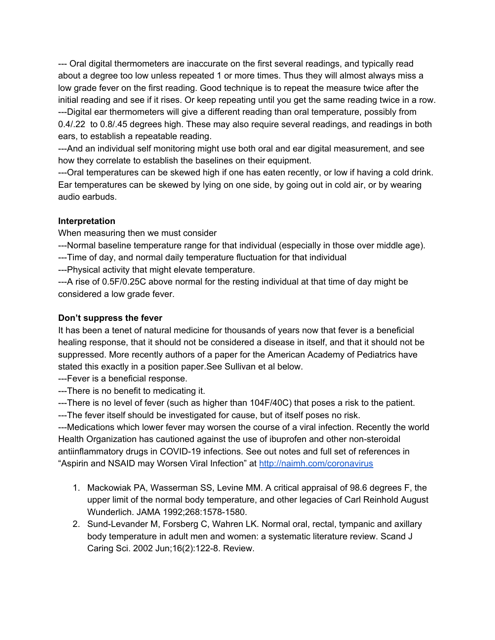--- Oral digital thermometers are inaccurate on the first several readings, and typically read about a degree too low unless repeated 1 or more times. Thus they will almost always miss a low grade fever on the first reading. Good technique is to repeat the measure twice after the initial reading and see if it rises. Or keep repeating until you get the same reading twice in a row. ---Digital ear thermometers will give a different reading than oral temperature, possibly from 0.4/.22 to 0.8/.45 degrees high. These may also require several readings, and readings in both ears, to establish a repeatable reading.

---And an individual self monitoring might use both oral and ear digital measurement, and see how they correlate to establish the baselines on their equipment.

---Oral temperatures can be skewed high if one has eaten recently, or low if having a cold drink. Ear temperatures can be skewed by lying on one side, by going out in cold air, or by wearing audio earbuds.

### **Interpretation**

When measuring then we must consider

---Normal baseline temperature range for that individual (especially in those over middle age).

---Time of day, and normal daily temperature fluctuation for that individual

---Physical activity that might elevate temperature.

---A rise of 0.5F/0.25C above normal for the resting individual at that time of day might be considered a low grade fever.

### **Don't suppress the fever**

It has been a tenet of natural medicine for thousands of years now that fever is a beneficial healing response, that it should not be considered a disease in itself, and that it should not be suppressed. More recently authors of a paper for the American Academy of Pediatrics have stated this exactly in a position paper.See Sullivan et al below.

---Fever is a beneficial response.

---There is no benefit to medicating it.

---There is no level of fever (such as higher than 104F/40C) that poses a risk to the patient.

---The fever itself should be investigated for cause, but of itself poses no risk.

---Medications which lower fever may worsen the course of a viral infection. Recently the world Health Organization has cautioned against the use of ibuprofen and other non-steroidal antiinflammatory drugs in COVID-19 infections. See out notes and full set of references in "Aspirin and NSAID may Worsen Viral Infection" at <http://naimh.com/coronavirus>

- 1. Mackowiak PA, Wasserman SS, Levine MM. A critical appraisal of 98.6 degrees F, the upper limit of the normal body temperature, and other legacies of Carl Reinhold August Wunderlich. JAMA 1992;268:1578-1580.
- 2. Sund-Levander M, Forsberg C, Wahren LK. Normal oral, rectal, tympanic and axillary body temperature in adult men and women: a systematic literature review. Scand J Caring Sci. 2002 Jun;16(2):122-8. Review.